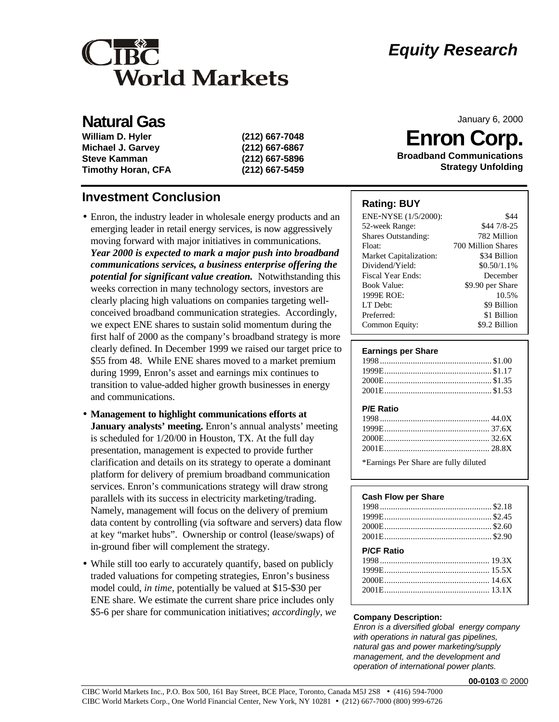# CIBC **World Markets**

## **Natural Gas**

| William D. Hyler          | (212) 667-7048 |
|---------------------------|----------------|
| <b>Michael J. Garvey</b>  | (212) 667-6867 |
| <b>Steve Kamman</b>       | (212) 667-5896 |
| <b>Timothy Horan, CFA</b> | (212) 667-5459 |

### **Investment Conclusion**

- Enron, the industry leader in wholesale energy products and an emerging leader in retail energy services, is now aggressively moving forward with major initiatives in communications. *Year 2000 is expected to mark a major push into broadband communications services, a business enterprise offering the potential for significant value creation.* Notwithstanding this weeks correction in many technology sectors, investors are clearly placing high valuations on companies targeting wellconceived broadband communication strategies. Accordingly, we expect ENE shares to sustain solid momentum during the first half of 2000 as the company's broadband strategy is more clearly defined. In December 1999 we raised our target price to \$55 from 48. While ENE shares moved to a market premium during 1999, Enron's asset and earnings mix continues to transition to value-added higher growth businesses in energy and communications.
- **Management to highlight communications efforts at January analysts' meeting.** Enron's annual analysts' meeting is scheduled for 1/20/00 in Houston, TX. At the full day presentation, management is expected to provide further clarification and details on its strategy to operate a dominant platform for delivery of premium broadband communication services. Enron's communications strategy will draw strong parallels with its success in electricity marketing/trading. Namely, management will focus on the delivery of premium data content by controlling (via software and servers) data flow at key "market hubs". Ownership or control (lease/swaps) of in-ground fiber will complement the strategy.
- While still too early to accurately quantify, based on publicly traded valuations for competing strategies, Enron's business model could, *in time*, potentially be valued at \$15-\$30 per ENE share. We estimate the current share price includes only \$5-6 per share for communication initiatives; *accordingly, we*

# *Equity Research*

January 6, 2000

**Enron Corp.**

**Broadband Communications Strategy Unfolding**

### **Rating: BUY**

| ENE-NYSE (1/5/2000):          | \$44               |
|-------------------------------|--------------------|
| 52-week Range:                | \$44 7/8-25        |
| <b>Shares Outstanding:</b>    | 782 Million        |
| Float:                        | 700 Million Shares |
| <b>Market Capitalization:</b> | \$34 Billion       |
| Dividend/Yield:               | $$0.50/1.1\%$      |
| Fiscal Year Ends:             | December           |
| <b>Book Value:</b>            | \$9.90 per Share   |
| 1999E ROE:                    | 10.5%              |
| LT Debt:                      | \$9 Billion        |
| Preferred:                    | \$1 Billion        |
| Common Equity:                | \$9.2 Billion      |

#### **Earnings per Share**

#### **P/E Ratio**

\*Earnings Per Share are fully diluted

### **Cash Flow per Share**

| <b>P/CF Ratio</b> |  |
|-------------------|--|
|                   |  |
|                   |  |
|                   |  |

#### **Company Description:**

*Enron is a diversified global energy company with operations in natural gas pipelines, natural gas and power marketing/supply management, and the development and operation of international power plants.*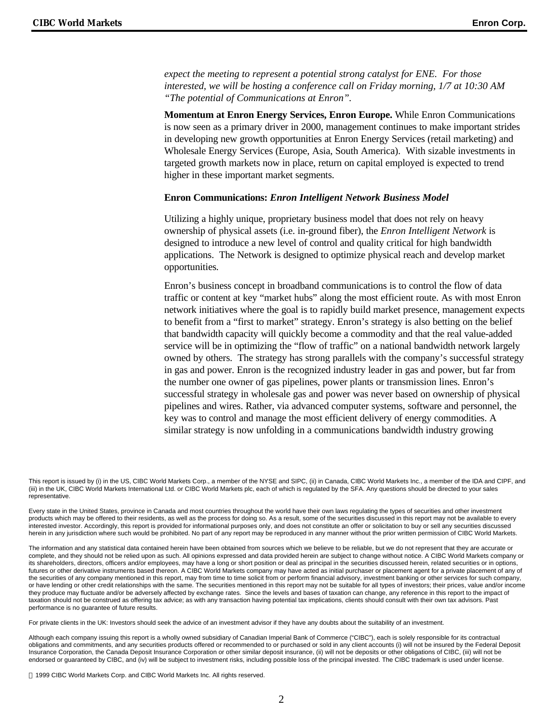*expect the meeting to represent a potential strong catalyst for ENE. For those interested, we will be hosting a conference call on Friday morning, 1/7 at 10:30 AM "The potential of Communications at Enron".*

**Momentum at Enron Energy Services, Enron Europe.** While Enron Communications is now seen as a primary driver in 2000, management continues to make important strides in developing new growth opportunities at Enron Energy Services (retail marketing) and Wholesale Energy Services (Europe, Asia, South America). With sizable investments in targeted growth markets now in place, return on capital employed is expected to trend higher in these important market segments.

#### **Enron Communications:** *Enron Intelligent Network Business Model*

Utilizing a highly unique, proprietary business model that does not rely on heavy ownership of physical assets (i.e. in-ground fiber), the *Enron Intelligent Network* is designed to introduce a new level of control and quality critical for high bandwidth applications. The Network is designed to optimize physical reach and develop market opportunities*.*

Enron's business concept in broadband communications is to control the flow of data traffic or content at key "market hubs" along the most efficient route. As with most Enron network initiatives where the goal is to rapidly build market presence, management expects to benefit from a "first to market" strategy. Enron's strategy is also betting on the belief that bandwidth capacity will quickly become a commodity and that the real value-added service will be in optimizing the "flow of traffic" on a national bandwidth network largely owned by others. The strategy has strong parallels with the company's successful strategy in gas and power. Enron is the recognized industry leader in gas and power, but far from the number one owner of gas pipelines, power plants or transmission lines. Enron's successful strategy in wholesale gas and power was never based on ownership of physical pipelines and wires. Rather, via advanced computer systems, software and personnel, the key was to control and manage the most efficient delivery of energy commodities. A similar strategy is now unfolding in a communications bandwidth industry growing

This report is issued by (i) in the US, CIBC World Markets Corp., a member of the NYSE and SIPC, (ii) in Canada, CIBC World Markets Inc., a member of the IDA and CIPF, and (iii) in the UK, CIBC World Markets International Ltd. or CIBC World Markets plc, each of which is regulated by the SFA. Any questions should be directed to your sales representative.

Every state in the United States, province in Canada and most countries throughout the world have their own laws regulating the types of securities and other investment products which may be offered to their residents, as well as the process for doing so. As a result, some of the securities discussed in this report may not be available to every interested investor. Accordingly, this report is provided for informational purposes only, and does not constitute an offer or solicitation to buy or sell any securities discussed herein in any jurisdiction where such would be prohibited. No part of any report may be reproduced in any manner without the prior written permission of CIBC World Markets.

The information and any statistical data contained herein have been obtained from sources which we believe to be reliable, but we do not represent that they are accurate or complete, and they should not be relied upon as such. All opinions expressed and data provided herein are subject to change without notice. A CIBC World Markets company or its shareholders, directors, officers and/or employees, may have a long or short position or deal as principal in the securities discussed herein, related securities or in options, futures or other derivative instruments based thereon. A CIBC World Markets company may have acted as initial purchaser or placement agent for a private placement of any of the securities of any company mentioned in this report, may from time to time solicit from or perform financial advisory, investment banking or other services for such company, or have lending or other credit relationships with the same. The securities mentioned in this report may not be suitable for all types of investors; their prices, value and/or income they produce may fluctuate and/or be adversely affected by exchange rates. Since the levels and bases of taxation can change, any reference in this report to the impact of taxation should not be construed as offering tax advice; as with any transaction having potential tax implications, clients should consult with their own tax advisors. Past performance is no guarantee of future results.

For private clients in the UK: Investors should seek the advice of an investment advisor if they have any doubts about the suitability of an investment.

Although each company issuing this report is a wholly owned subsidiary of Canadian Imperial Bank of Commerce ("CIBC"), each is solely responsible for its contractual obligations and commitments, and any securities products offered or recommended to or purchased or sold in any client accounts (i) will not be insured by the Federal Deposit Insurance Corporation, the Canada Deposit Insurance Corporation or other similar deposit insurance, (ii) will not be deposits or other obligations of CIBC, (iii) will not be endorsed or quaranteed by CIBC, and (iv) will be subject to investment risks, including possible loss of the principal invested. The CIBC trademark is used under license.

1999 CIBC World Markets Corp. and CIBC World Markets Inc. All rights reserved.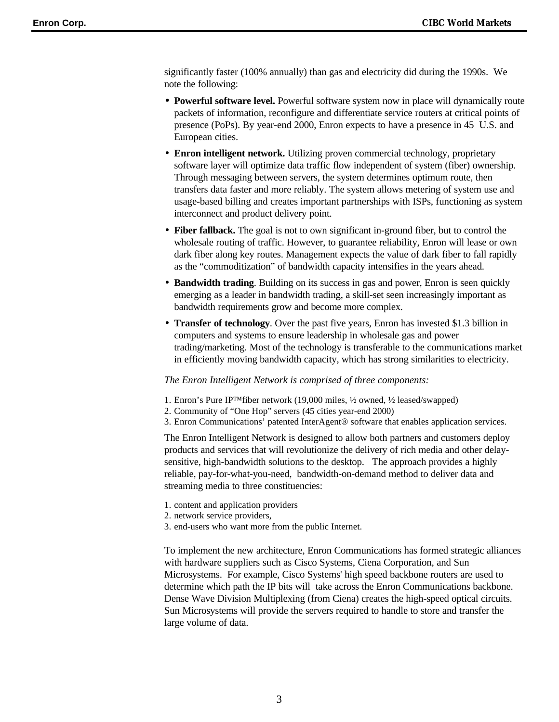significantly faster (100% annually) than gas and electricity did during the 1990s. We note the following:

- **Powerful software level.** Powerful software system now in place will dynamically route packets of information, reconfigure and differentiate service routers at critical points of presence (PoPs). By year-end 2000, Enron expects to have a presence in 45 U.S. and European cities.
- **Enron intelligent network.** Utilizing proven commercial technology, proprietary software layer will optimize data traffic flow independent of system (fiber) ownership. Through messaging between servers, the system determines optimum route, then transfers data faster and more reliably. The system allows metering of system use and usage-based billing and creates important partnerships with ISPs, functioning as system interconnect and product delivery point.
- **Fiber fallback.** The goal is not to own significant in-ground fiber, but to control the wholesale routing of traffic. However, to guarantee reliability, Enron will lease or own dark fiber along key routes. Management expects the value of dark fiber to fall rapidly as the "commoditization" of bandwidth capacity intensifies in the years ahead.
- **Bandwidth trading**. Building on its success in gas and power, Enron is seen quickly emerging as a leader in bandwidth trading, a skill-set seen increasingly important as bandwidth requirements grow and become more complex.
- **Transfer of technology**. Over the past five years, Enron has invested \$1.3 billion in computers and systems to ensure leadership in wholesale gas and power trading/marketing. Most of the technology is transferable to the communications market in efficiently moving bandwidth capacity, which has strong similarities to electricity.

#### *The Enron Intelligent Network is comprised of three components:*

- 1. Enron's Pure IP™fiber network (19,000 miles, ½ owned, ½ leased/swapped)
- 2. Community of "One Hop" servers (45 cities year-end 2000)
- 3. Enron Communications' patented InterAgent® software that enables application services.

The Enron Intelligent Network is designed to allow both partners and customers deploy products and services that will revolutionize the delivery of rich media and other delaysensitive, high-bandwidth solutions to the desktop. The approach provides a highly reliable, pay-for-what-you-need, bandwidth-on-demand method to deliver data and streaming media to three constituencies:

- 1. content and application providers
- 2. network service providers,
- 3. end-users who want more from the public Internet.

To implement the new architecture, Enron Communications has formed strategic alliances with hardware suppliers such as Cisco Systems, Ciena Corporation, and Sun Microsystems. For example, Cisco Systems' high speed backbone routers are used to determine which path the IP bits will take across the Enron Communications backbone. Dense Wave Division Multiplexing (from Ciena) creates the high-speed optical circuits. Sun Microsystems will provide the servers required to handle to store and transfer the large volume of data.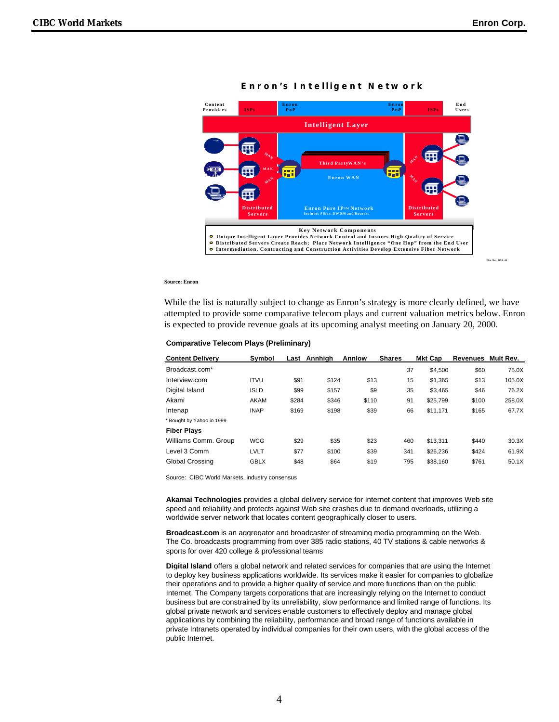

**Enron 's I n t e lligent Ne t w o r k**

#### **Source: Enron**

While the list is naturally subject to change as Enron's strategy is more clearly defined, we have attempted to provide some comparative telecom plays and current valuation metrics below. Enron is expected to provide revenue goals at its upcoming analyst meeting on January 20, 2000.

| <b>Comparative Telecom Plays (Preliminary)</b> |  |  |  |
|------------------------------------------------|--|--|--|
|------------------------------------------------|--|--|--|

| <b>Content Delivery</b>   | Symbol      |       | Last Annhigh | Annlow | <b>Shares</b> | <b>Mkt Cap</b> | Revenues | Mult Rev. |
|---------------------------|-------------|-------|--------------|--------|---------------|----------------|----------|-----------|
| Broadcast.com*            |             |       |              |        | 37            | \$4.500        | \$60     | 75.0X     |
| Interview.com             | <b>ITVU</b> | \$91  | \$124        | \$13   | 15            | \$1.365        | \$13     | 105.0X    |
| Digital Island            | <b>ISLD</b> | \$99  | \$157        | \$9    | 35            | \$3.465        | \$46     | 76.2X     |
| Akami                     | AKAM        | \$284 | \$346        | \$110  | 91            | \$25.799       | \$100    | 258.0X    |
| Intenap                   | <b>INAP</b> | \$169 | \$198        | \$39   | 66            | \$11.171       | \$165    | 67.7X     |
| * Bought by Yahoo in 1999 |             |       |              |        |               |                |          |           |
| <b>Fiber Plays</b>        |             |       |              |        |               |                |          |           |
| Williams Comm. Group      | <b>WCG</b>  | \$29  | \$35         | \$23   | 460           | \$13.311       | \$440    | 30.3X     |
| Level 3 Comm              | LVLT        | \$77  | \$100        | \$39   | 341           | \$26,236       | \$424    | 61.9X     |
| Global Crossing           | <b>GBLX</b> | \$48  | \$64         | \$19   | 795           | \$38.160       | \$761    | 50.1X     |

Source: CIBC World Markets, industry consensus

**Akamai Technologies** provides a global delivery service for Internet content that improves Web site speed and reliability and protects against Web site crashes due to demand overloads, utilizing a worldwide server network that locates content geographically closer to users.

**Broadcast.com** is an aggregator and broadcaster of streaming media programming on the Web. The Co. broadcasts programming from over 385 radio stations, 40 TV stations & cable networks & sports for over 420 college & professional teams

**Digital Island** offers a global network and related services for companies that are using the Internet to deploy key business applications worldwide. Its services make it easier for companies to globalize their operations and to provide a higher quality of service and more functions than on the public Internet. The Company targets corporations that are increasingly relying on the Internet to conduct business but are constrained by its unreliability, slow performance and limited range of functions. Its global private network and services enable customers to effectively deploy and manage global applications by combining the reliability, performance and broad range of functions available in private Intranets operated by individual companies for their own users, with the global access of the public Internet.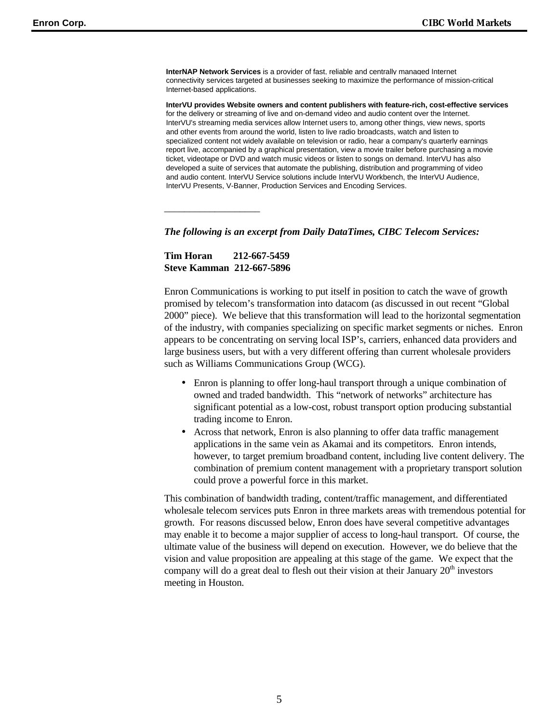**InterNAP Network Services** is a provider of fast, reliable and centrally managed Internet connectivity services targeted at businesses seeking to maximize the performance of mission-critical Internet-based applications.

**InterVU provides Website owners and content publishers with feature-rich, cost-effective services** for the delivery or streaming of live and on-demand video and audio content over the Internet. InterVU's streaming media services allow Internet users to, among other things, view news, sports and other events from around the world, listen to live radio broadcasts, watch and listen to specialized content not widely available on television or radio, hear a company's quarterly earnings report live, accompanied by a graphical presentation, view a movie trailer before purchasing a movie ticket, videotape or DVD and watch music videos or listen to songs on demand. InterVU has also developed a suite of services that automate the publishing, distribution and programming of video and audio content. InterVU Service solutions include InterVU Workbench, the InterVU Audience, InterVU Presents, V-Banner, Production Services and Encoding Services.

*The following is an excerpt from Daily DataTimes, CIBC Telecom Services:*

**Tim Horan 212-667-5459 Steve Kamman 212-667-5896**

*\_\_\_\_\_\_\_\_\_\_\_\_\_\_\_\_\_\_\_*

Enron Communications is working to put itself in position to catch the wave of growth promised by telecom's transformation into datacom (as discussed in out recent "Global 2000" piece). We believe that this transformation will lead to the horizontal segmentation of the industry, with companies specializing on specific market segments or niches. Enron appears to be concentrating on serving local ISP's, carriers, enhanced data providers and large business users, but with a very different offering than current wholesale providers such as Williams Communications Group (WCG).

- Enron is planning to offer long-haul transport through a unique combination of owned and traded bandwidth. This "network of networks" architecture has significant potential as a low-cost, robust transport option producing substantial trading income to Enron.
- Across that network, Enron is also planning to offer data traffic management applications in the same vein as Akamai and its competitors. Enron intends, however, to target premium broadband content, including live content delivery. The combination of premium content management with a proprietary transport solution could prove a powerful force in this market.

This combination of bandwidth trading, content/traffic management, and differentiated wholesale telecom services puts Enron in three markets areas with tremendous potential for growth. For reasons discussed below, Enron does have several competitive advantages may enable it to become a major supplier of access to long-haul transport. Of course, the ultimate value of the business will depend on execution. However, we do believe that the vision and value proposition are appealing at this stage of the game. We expect that the company will do a great deal to flesh out their vision at their January  $20<sup>th</sup>$  investors meeting in Houston.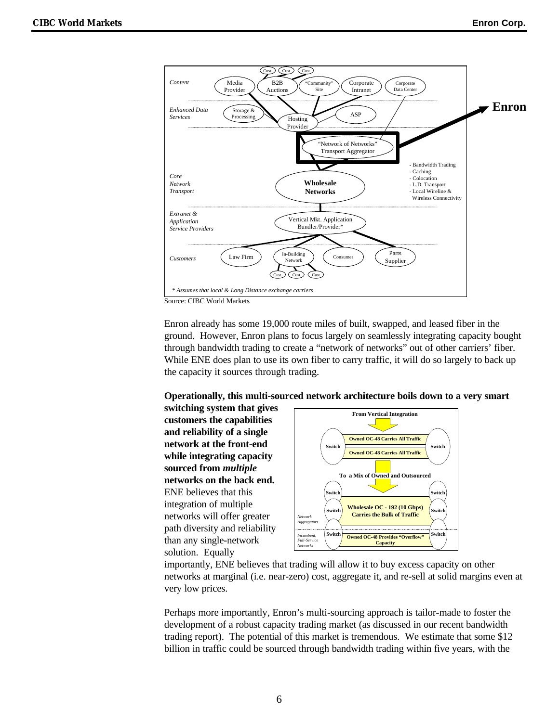

Enron already has some 19,000 route miles of built, swapped, and leased fiber in the ground. However, Enron plans to focus largely on seamlessly integrating capacity bought through bandwidth trading to create a "network of networks" out of other carriers' fiber. While ENE does plan to use its own fiber to carry traffic, it will do so largely to back up the capacity it sources through trading.

#### **Operationally, this multi-sourced network architecture boils down to a very smart**

**switching system that gives customers the capabilities and reliability of a single network at the front-end while integrating capacity sourced from** *multiple* **networks on the back end.** ENE believes that this integration of multiple networks will offer greater path diversity and reliability than any single-network solution. Equally



importantly, ENE believes that trading will allow it to buy excess capacity on other networks at marginal (i.e. near-zero) cost, aggregate it, and re-sell at solid margins even at very low prices.

Perhaps more importantly, Enron's multi-sourcing approach is tailor-made to foster the development of a robust capacity trading market (as discussed in our recent bandwidth trading report). The potential of this market is tremendous. We estimate that some \$12 billion in traffic could be sourced through bandwidth trading within five years, with the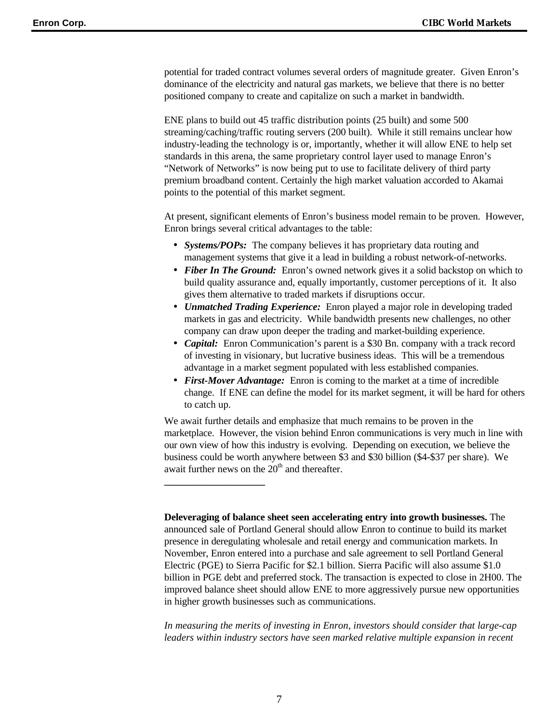potential for traded contract volumes several orders of magnitude greater. Given Enron's dominance of the electricity and natural gas markets, we believe that there is no better positioned company to create and capitalize on such a market in bandwidth.

ENE plans to build out 45 traffic distribution points (25 built) and some 500 streaming/caching/traffic routing servers (200 built). While it still remains unclear how industry-leading the technology is or, importantly, whether it will allow ENE to help set standards in this arena, the same proprietary control layer used to manage Enron's "Network of Networks" is now being put to use to facilitate delivery of third party premium broadband content. Certainly the high market valuation accorded to Akamai points to the potential of this market segment.

At present, significant elements of Enron's business model remain to be proven. However, Enron brings several critical advantages to the table:

- *Systems/POPs:* The company believes it has proprietary data routing and management systems that give it a lead in building a robust network-of-networks.
- *Fiber In The Ground:* Enron's owned network gives it a solid backstop on which to build quality assurance and, equally importantly, customer perceptions of it. It also gives them alternative to traded markets if disruptions occur.
- *Unmatched Trading Experience:* Enron played a major role in developing traded markets in gas and electricity. While bandwidth presents new challenges, no other company can draw upon deeper the trading and market-building experience.
- *Capital:* Enron Communication's parent is a \$30 Bn. company with a track record of investing in visionary, but lucrative business ideas. This will be a tremendous advantage in a market segment populated with less established companies.
- *First-Mover Advantage:* Enron is coming to the market at a time of incredible change. If ENE can define the model for its market segment, it will be hard for others to catch up.

We await further details and emphasize that much remains to be proven in the marketplace. However, the vision behind Enron communications is very much in line with our own view of how this industry is evolving. Depending on execution, we believe the business could be worth anywhere between \$3 and \$30 billion (\$4-\$37 per share). We await further news on the  $20<sup>th</sup>$  and thereafter.

**Deleveraging of balance sheet seen accelerating entry into growth businesses.** The announced sale of Portland General should allow Enron to continue to build its market presence in deregulating wholesale and retail energy and communication markets. In November, Enron entered into a purchase and sale agreement to sell Portland General Electric (PGE) to Sierra Pacific for \$2.1 billion. Sierra Pacific will also assume \$1.0 billion in PGE debt and preferred stock. The transaction is expected to close in 2H00. The improved balance sheet should allow ENE to more aggressively pursue new opportunities in higher growth businesses such as communications.

*In measuring the merits of investing in Enron, investors should consider that large-cap leaders within industry sectors have seen marked relative multiple expansion in recent*

**\_\_\_\_\_\_\_\_\_\_\_\_\_\_\_\_\_\_\_\_**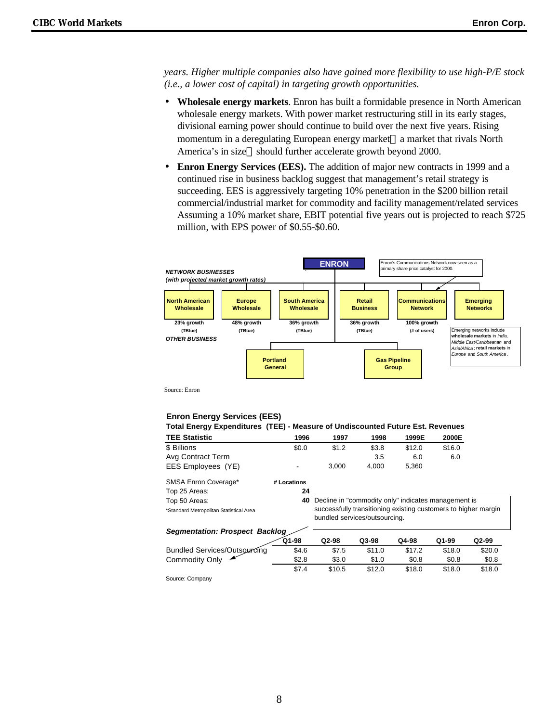*years. Higher multiple companies also have gained more flexibility to use high-P/E stock (i.e., a lower cost of capital) in targeting growth opportunities.*

- **Wholesale energy markets**. Enron has built a formidable presence in North American wholesale energy markets. With power market restructuring still in its early stages, divisional earning power should continue to build over the next five years. Rising momentum in a deregulating European energy market—a market that rivals North America's in size—should further accelerate growth beyond 2000.
- **Enron Energy Services (EES).** The addition of major new contracts in 1999 and a continued rise in business backlog suggest that management's retail strategy is succeeding. EES is aggressively targeting 10% penetration in the \$200 billion retail commercial/industrial market for commodity and facility management/related services Assuming a 10% market share, EBIT potential five years out is projected to reach \$725 million, with EPS power of \$0.55-\$0.60.



Source: Enron

#### **Enron Energy Services (EES)**

| Total Energy Expenditures (TEE) - Measure of Undiscounted Future Est. Revenues |             |                                                                                                 |        |        |        |        |
|--------------------------------------------------------------------------------|-------------|-------------------------------------------------------------------------------------------------|--------|--------|--------|--------|
| <b>TEE Statistic</b>                                                           | 1996        | 1997                                                                                            | 1998   | 1999E  | 2000E  |        |
| \$ Billions                                                                    | \$0.0       | \$1.2                                                                                           | \$3.8  | \$12.0 | \$16.0 |        |
| Avg Contract Term                                                              |             |                                                                                                 | 3.5    | 6.0    | 6.0    |        |
| EES Employees (YE)                                                             |             | 3.000                                                                                           | 4,000  | 5,360  |        |        |
| SMSA Enron Coverage*                                                           | # Locations |                                                                                                 |        |        |        |        |
| Top 25 Areas:                                                                  | 24          |                                                                                                 |        |        |        |        |
| Top 50 Areas:                                                                  | 40          | Decline in "commodity only" indicates management is                                             |        |        |        |        |
| *Standard Metropolitan Statistical Area                                        |             | successfully transitioning existing customers to higher margin<br>bundled services/outsourcing. |        |        |        |        |
| <b>Segmentation: Prospect Backlog</b>                                          |             |                                                                                                 |        |        |        |        |
|                                                                                | $Q1-98$     | Q2-98                                                                                           | Q3-98  | Q4-98  | Q1-99  | Q2-99  |
| <b>Bundled Services/Outsourcing</b>                                            | \$4.6       | \$7.5                                                                                           | \$11.0 | \$17.2 | \$18.0 | \$20.0 |
| <b>Commodity Only</b>                                                          | \$2.8       | \$3.0                                                                                           | \$1.0  | \$0.8  | \$0.8  | \$0.8  |

\$7.4 \$10.5 \$12.0 \$18.0 \$18.0 \$18.0

Source: Company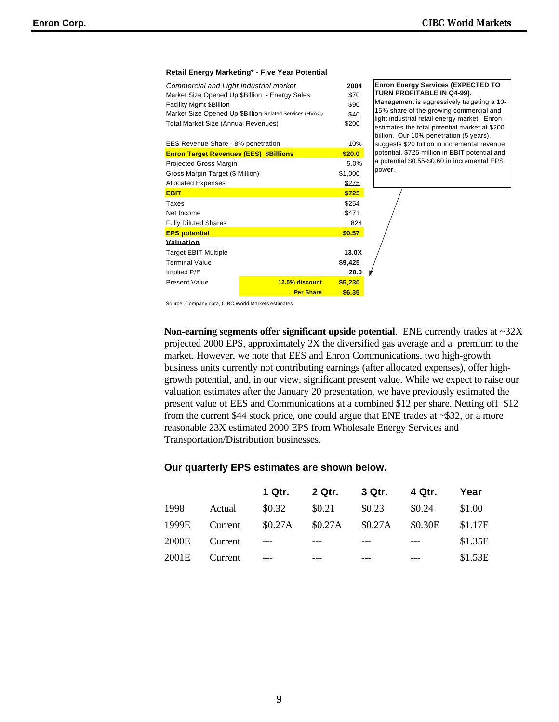#### **Retail Energy Marketing\* - Five Year Potential**

| Commercial and Light Industrial market         |                                                         | 2004    |
|------------------------------------------------|---------------------------------------------------------|---------|
| Market Size Opened Up \$Billion - Energy Sales |                                                         | \$70    |
| <b>Facility Mgmt \$Billion</b>                 |                                                         | \$90    |
|                                                | Market Size Opened Up \$Billion-Related Services (HVAC, | \$40    |
| Total Market Size (Annual Revenues)            |                                                         | \$200   |
|                                                |                                                         |         |
| EES Revenue Share - 8% penetration             |                                                         | 10%     |
| <b>Enron Target Revenues (EES) \$Billions</b>  |                                                         | \$20.0  |
| <b>Projected Gross Margin</b>                  |                                                         | 5.0%    |
| Gross Margin Target (\$ Million)               |                                                         | \$1,000 |
| <b>Allocated Expenses</b>                      |                                                         | \$275   |
| <b>EBIT</b>                                    |                                                         | \$725   |
| Taxes                                          |                                                         | \$254   |
| Net Income                                     |                                                         | \$471   |
| <b>Fully Diluted Shares</b>                    |                                                         | 824     |
| <b>EPS potential</b>                           |                                                         | \$0.57  |
| Valuation                                      |                                                         |         |
| <b>Target EBIT Multiple</b>                    |                                                         | 13.0X   |
| <b>Terminal Value</b>                          |                                                         | \$9,425 |
| Implied P/E                                    |                                                         | 20.0    |
| <b>Present Value</b>                           | 12.5% discount                                          | \$5,230 |
|                                                | <b>Per Share</b>                                        | \$6.35  |

**Enron Energy Services (EXPECTED TO TURN PROFITABLE IN Q4-99).**  Management is aggressively targeting a 10- 15% share of the growing commercial and light industrial retail energy market. Enron estimates the total potential market at \$200 billion. Our 10% penetration (5 years), suggests \$20 billion in incremental revenue potential, \$725 million in EBIT potential and a potential \$0.55-\$0.60 in incremental EPS power.

Source: Company data, CIBC World Markets estimates

**Non-earning segments offer significant upside potential**. ENE currently trades at ~32X projected 2000 EPS, approximately 2X the diversified gas average and a premium to the market. However, we note that EES and Enron Communications, two high-growth business units currently not contributing earnings (after allocated expenses), offer highgrowth potential, and, in our view, significant present value. While we expect to raise our valuation estimates after the January 20 presentation, we have previously estimated the present value of EES and Communications at a combined \$12 per share. Netting off \$12 from the current \$44 stock price, one could argue that ENE trades at ~\$32, or a more reasonable 23X estimated 2000 EPS from Wholesale Energy Services and Transportation/Distribution businesses.

#### **Our quarterly EPS estimates are shown below.**

|       |         | 1 Qtr. . | 2 Qtr. 3 Qtr. 4 Qtr.            |        |        | Year    |
|-------|---------|----------|---------------------------------|--------|--------|---------|
| 1998  | Actual  | \$0.32   | \$0.21                          | \$0.23 | \$0.24 | \$1.00  |
| 1999E | Current |          | \$0.27A \$0.27A \$0.27A \$0.30E |        |        | \$1.17E |
| 2000E | Current | $---$    |                                 |        | $---$  | \$1.35E |
| 2001E | Current |          |                                 |        |        | \$1.53E |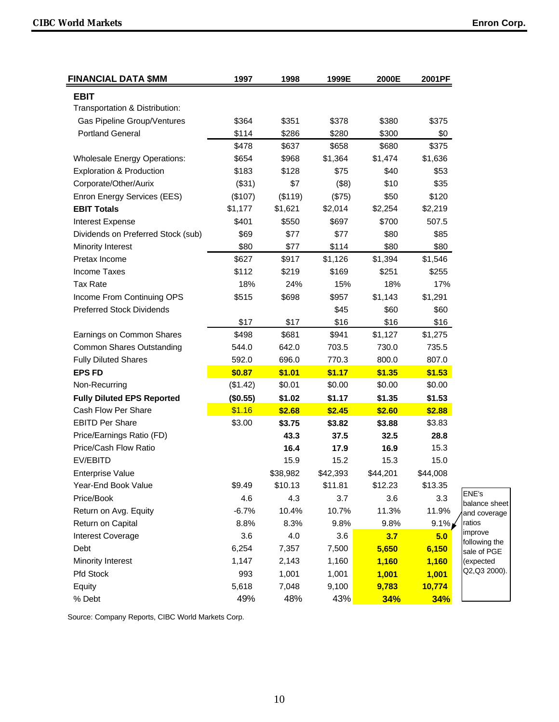| <b>FINANCIAL DATA \$MM</b>          | 1997     | 1998     | 1999E    | 2000E    | 2001PF   |                               |
|-------------------------------------|----------|----------|----------|----------|----------|-------------------------------|
| <b>EBIT</b>                         |          |          |          |          |          |                               |
| Transportation & Distribution:      |          |          |          |          |          |                               |
| Gas Pipeline Group/Ventures         | \$364    | \$351    | \$378    | \$380    | \$375    |                               |
| <b>Portland General</b>             | \$114    | \$286    | \$280    | \$300    | \$0      |                               |
|                                     | \$478    | \$637    | \$658    | \$680    | \$375    |                               |
| <b>Wholesale Energy Operations:</b> | \$654    | \$968    | \$1,364  | \$1,474  | \$1,636  |                               |
| <b>Exploration &amp; Production</b> | \$183    | \$128    | \$75     | \$40     | \$53     |                               |
| Corporate/Other/Aurix               | (\$31)   | \$7      | (\$8)    | \$10     | \$35     |                               |
| Enron Energy Services (EES)         | (\$107)  | (\$119)  | (\$75)   | \$50     | \$120    |                               |
| <b>EBIT Totals</b>                  | \$1,177  | \$1,621  | \$2,014  | \$2,254  | \$2,219  |                               |
| Interest Expense                    | \$401    | \$550    | \$697    | \$700    | 507.5    |                               |
| Dividends on Preferred Stock (sub)  | \$69     | \$77     | \$77     | \$80     | \$85     |                               |
| Minority Interest                   | \$80     | \$77     | \$114    | \$80     | \$80     |                               |
| Pretax Income                       | \$627    | \$917    | \$1,126  | \$1,394  | \$1,546  |                               |
| <b>Income Taxes</b>                 | \$112    | \$219    | \$169    | \$251    | \$255    |                               |
| <b>Tax Rate</b>                     | 18%      | 24%      | 15%      | 18%      | 17%      |                               |
| Income From Continuing OPS          | \$515    | \$698    | \$957    | \$1,143  | \$1,291  |                               |
| <b>Preferred Stock Dividends</b>    |          |          | \$45     | \$60     | \$60     |                               |
|                                     | \$17     | \$17     | \$16     | \$16     | \$16     |                               |
| Earnings on Common Shares           | \$498    | \$681    | \$941    | \$1,127  | \$1,275  |                               |
| <b>Common Shares Outstanding</b>    | 544.0    | 642.0    | 703.5    | 730.0    | 735.5    |                               |
| <b>Fully Diluted Shares</b>         | 592.0    | 696.0    | 770.3    | 800.0    | 807.0    |                               |
| <b>EPS FD</b>                       | \$0.87   | \$1.01   | \$1.17   | \$1.35   | \$1.53   |                               |
| Non-Recurring                       | (\$1.42) | \$0.01   | \$0.00   | \$0.00   | \$0.00   |                               |
| <b>Fully Diluted EPS Reported</b>   | (\$0.55) | \$1.02   | \$1.17   | \$1.35   | \$1.53   |                               |
| Cash Flow Per Share                 | \$1.16   | \$2.68   | \$2.45   | \$2.60   | \$2.88   |                               |
| <b>EBITD Per Share</b>              | \$3.00   | \$3.75   | \$3.82   | \$3.88   | \$3.83   |                               |
| Price/Earnings Ratio (FD)           |          | 43.3     | 37.5     | 32.5     | 28.8     |                               |
| Price/Cash Flow Ratio               |          | 16.4     | 17.9     | 16.9     | 15.3     |                               |
| EV/EBITD                            |          | 15.9     | 15.2     | 15.3     | 15.0     |                               |
| <b>Enterprise Value</b>             |          | \$38,982 | \$42,393 | \$44,201 | \$44,008 |                               |
| Year-End Book Value                 | \$9.49   | \$10.13  | \$11.81  | \$12.23  | \$13.35  |                               |
| Price/Book                          | 4.6      | 4.3      | 3.7      | 3.6      | 3.3      | ENE's                         |
| Return on Avg. Equity               | $-6.7%$  | 10.4%    | 10.7%    | 11.3%    | 11.9%    | balance sheet<br>and coverage |
| Return on Capital                   | 8.8%     | 8.3%     | 9.8%     | 9.8%     | $9.1\%$  | ratios                        |
| Interest Coverage                   | 3.6      | 4.0      | 3.6      | 3.7      | 5.0      | improve                       |
| Debt                                | 6,254    | 7,357    | 7,500    | 5,650    | 6,150    | following the<br>sale of PGE  |
| Minority Interest                   | 1,147    | 2,143    | 1,160    | 1,160    | 1,160    | (expected                     |
| Pfd Stock                           | 993      | 1,001    | 1,001    | 1,001    | 1,001    | Q2, Q3 2000).                 |
| Equity                              | 5,618    | 7,048    | 9,100    | 9,783    | 10,774   |                               |
| % Debt                              | 49%      | 48%      | 43%      | 34%      | 34%      |                               |

Source: Company Reports, CIBC World Markets Corp.